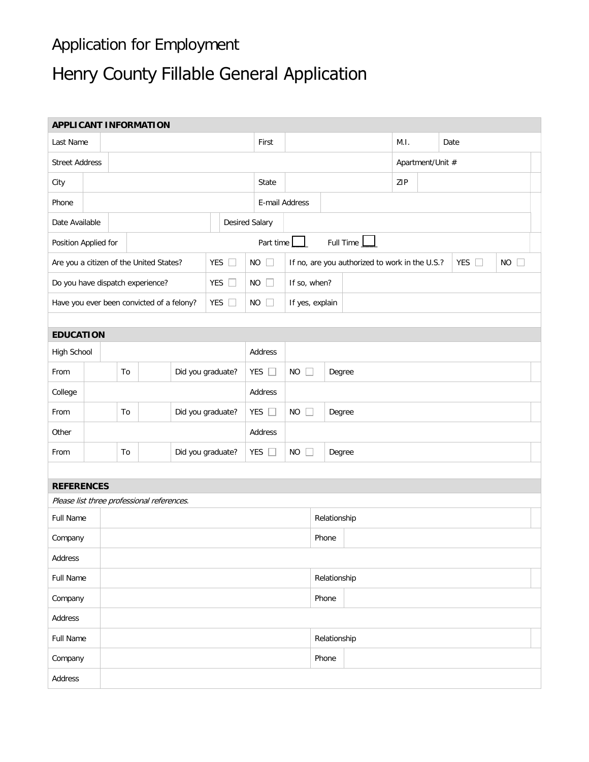## Application for Employment

## Henry County Fillable General Application

| <b>APPLICANT INFORMATION</b>               |    |                         |                   |               |                       |                                                                             |                               |                               |  |                  |           |      |  |      |  |
|--------------------------------------------|----|-------------------------|-------------------|---------------|-----------------------|-----------------------------------------------------------------------------|-------------------------------|-------------------------------|--|------------------|-----------|------|--|------|--|
| Last Name                                  |    |                         |                   |               |                       |                                                                             | First                         |                               |  |                  |           | M.I. |  | Date |  |
| <b>Street Address</b>                      |    |                         |                   |               |                       |                                                                             |                               |                               |  | Apartment/Unit # |           |      |  |      |  |
| City                                       |    |                         |                   |               | State                 |                                                                             |                               |                               |  | ZIP              |           |      |  |      |  |
| Phone                                      |    |                         |                   |               |                       |                                                                             | E-mail Address                |                               |  |                  |           |      |  |      |  |
| Date Available                             |    |                         |                   |               | <b>Desired Salary</b> |                                                                             |                               |                               |  |                  |           |      |  |      |  |
| Position Applied for                       |    |                         |                   |               |                       |                                                                             |                               | Part time                     |  |                  | Full Time |      |  |      |  |
| Are you a citizen of the United States?    |    |                         | YES<br>$\Box$     | $NO$ $\Box$   |                       | YES $\Box$<br>If no, are you authorized to work in the U.S.?<br>$NO$ $\Box$ |                               |                               |  |                  |           |      |  |      |  |
| Do you have dispatch experience?           |    |                         |                   | YES<br>$\Box$ | $NO$ $\Box$           |                                                                             | If so, when?                  |                               |  |                  |           |      |  |      |  |
| Have you ever been convicted of a felony?  |    |                         |                   | YES $\square$ | $NO$ $\Box$           |                                                                             | If yes, explain               |                               |  |                  |           |      |  |      |  |
|                                            |    |                         |                   |               |                       |                                                                             |                               |                               |  |                  |           |      |  |      |  |
| <b>EDUCATION</b>                           |    |                         |                   |               |                       |                                                                             |                               |                               |  |                  |           |      |  |      |  |
| <b>High School</b>                         |    |                         |                   |               |                       |                                                                             | Address                       |                               |  |                  |           |      |  |      |  |
| From                                       |    | To<br>Did you graduate? |                   |               | YES $\square$         |                                                                             | $NO$ $\Box$<br>Degree         |                               |  |                  |           |      |  |      |  |
| College                                    |    |                         |                   |               |                       | Address                                                                     |                               |                               |  |                  |           |      |  |      |  |
| From                                       | To |                         | Did you graduate? |               | YES $\square$         |                                                                             | <b>NO</b><br>$\Box$<br>Degree |                               |  |                  |           |      |  |      |  |
| Other                                      |    |                         |                   |               |                       | Address                                                                     |                               |                               |  |                  |           |      |  |      |  |
| From                                       |    | To<br>Did you graduate? |                   |               |                       | YES $\square$                                                               |                               | $\Box$<br><b>NO</b><br>Degree |  |                  |           |      |  |      |  |
|                                            |    |                         |                   |               |                       |                                                                             |                               |                               |  |                  |           |      |  |      |  |
| <b>REFERENCES</b>                          |    |                         |                   |               |                       |                                                                             |                               |                               |  |                  |           |      |  |      |  |
| Please list three professional references. |    |                         |                   |               |                       |                                                                             |                               |                               |  |                  |           |      |  |      |  |
| <b>Full Name</b>                           |    |                         |                   |               |                       |                                                                             | Relationship                  |                               |  |                  |           |      |  |      |  |
| Company                                    |    | Phone                   |                   |               |                       |                                                                             |                               |                               |  |                  |           |      |  |      |  |
| Address                                    |    |                         |                   |               |                       |                                                                             |                               |                               |  |                  |           |      |  |      |  |
| Full Name                                  |    |                         |                   |               |                       |                                                                             |                               |                               |  | Relationship     |           |      |  |      |  |
| Company                                    |    |                         |                   |               |                       |                                                                             |                               |                               |  | Phone            |           |      |  |      |  |
| Address                                    |    |                         |                   |               |                       |                                                                             |                               |                               |  |                  |           |      |  |      |  |
| Full Name                                  |    |                         |                   |               |                       |                                                                             |                               |                               |  | Relationship     |           |      |  |      |  |
| Company                                    |    |                         |                   |               |                       |                                                                             |                               |                               |  | Phone            |           |      |  |      |  |
| Address                                    |    |                         |                   |               |                       |                                                                             |                               |                               |  |                  |           |      |  |      |  |